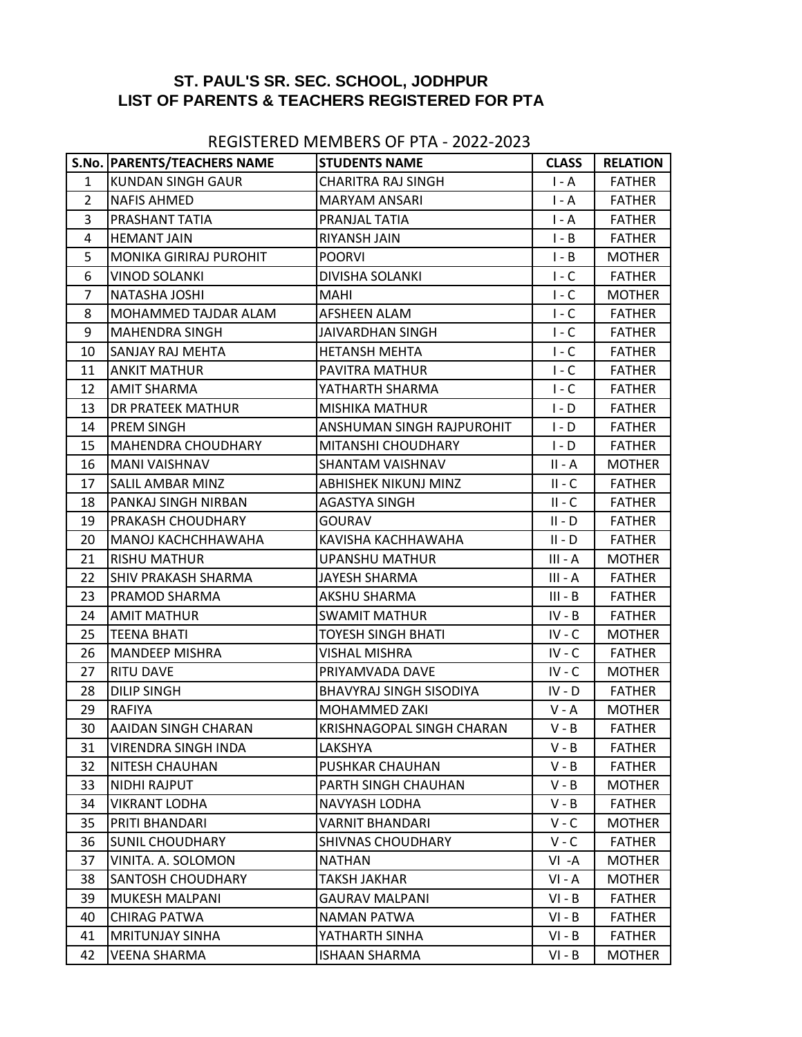## **ST. PAUL'S SR. SEC. SCHOOL, JODHPUR LIST OF PARENTS & TEACHERS REGISTERED FOR PTA**

## REGISTERED MEMBERS OF PTA - 2022-2023

|                | S.No. PARENTS/TEACHERS NAME   | <b>STUDENTS NAME</b>           | <b>CLASS</b> | <b>RELATION</b> |
|----------------|-------------------------------|--------------------------------|--------------|-----------------|
| $\mathbf{1}$   | KUNDAN SINGH GAUR             | <b>CHARITRA RAJ SINGH</b>      | $I - A$      | <b>FATHER</b>   |
| $\overline{2}$ | <b>NAFIS AHMED</b>            | <b>MARYAM ANSARI</b>           | $I - A$      | <b>FATHER</b>   |
| 3              | PRASHANT TATIA                | PRANJAL TATIA                  | $I - A$      | <b>FATHER</b>   |
| 4              | <b>HEMANT JAIN</b>            | RIYANSH JAIN                   | $I - B$      | <b>FATHER</b>   |
| 5              | <b>MONIKA GIRIRAJ PUROHIT</b> | <b>POORVI</b>                  | $I - B$      | <b>MOTHER</b>   |
| 6              | <b>VINOD SOLANKI</b>          | DIVISHA SOLANKI                | $I - C$      | <b>FATHER</b>   |
| $\overline{7}$ | <b>NATASHA JOSHI</b>          | <b>MAHI</b>                    | $I - C$      | <b>MOTHER</b>   |
| 8              | MOHAMMED TAJDAR ALAM          | <b>AFSHEEN ALAM</b>            | $I - C$      | <b>FATHER</b>   |
| 9              | <b>MAHENDRA SINGH</b>         | <b>JAIVARDHAN SINGH</b>        | $I - C$      | <b>FATHER</b>   |
| 10             | SANJAY RAJ MEHTA              | <b>HETANSH MEHTA</b>           | $I - C$      | <b>FATHER</b>   |
| 11             | <b>ANKIT MATHUR</b>           | PAVITRA MATHUR                 | $I - C$      | <b>FATHER</b>   |
| 12             | <b>AMIT SHARMA</b>            | YATHARTH SHARMA                | $I - C$      | <b>FATHER</b>   |
| 13             | DR PRATEEK MATHUR             | MISHIKA MATHUR                 | $I - D$      | <b>FATHER</b>   |
| 14             | <b>PREM SINGH</b>             | ANSHUMAN SINGH RAJPUROHIT      | $I - D$      | <b>FATHER</b>   |
| 15             | <b>MAHENDRA CHOUDHARY</b>     | MITANSHI CHOUDHARY             | $I - D$      | <b>FATHER</b>   |
| 16             | <b>MANI VAISHNAV</b>          | SHANTAM VAISHNAV               | $II - A$     | <b>MOTHER</b>   |
| 17             | <b>SALIL AMBAR MINZ</b>       | <b>ABHISHEK NIKUNJ MINZ</b>    | $II - C$     | <b>FATHER</b>   |
| 18             | PANKAJ SINGH NIRBAN           | AGASTYA SINGH                  | $II - C$     | <b>FATHER</b>   |
| 19             | <b>PRAKASH CHOUDHARY</b>      | <b>GOURAV</b>                  | $II - D$     | <b>FATHER</b>   |
| 20             | MANOJ KACHCHHAWAHA            | KAVISHA KACHHAWAHA             | $II - D$     | <b>FATHER</b>   |
| 21             | <b>RISHU MATHUR</b>           | UPANSHU MATHUR                 | III - A      | <b>MOTHER</b>   |
| 22             | <b>SHIV PRAKASH SHARMA</b>    | JAYESH SHARMA                  | $III - A$    | <b>FATHER</b>   |
| 23             | PRAMOD SHARMA                 | AKSHU SHARMA                   | $III - B$    | <b>FATHER</b>   |
| 24             | <b>AMIT MATHUR</b>            | <b>SWAMIT MATHUR</b>           | $IV - B$     | <b>FATHER</b>   |
| 25             | <b>TEENA BHATI</b>            | <b>TOYESH SINGH BHATI</b>      | $IV - C$     | <b>MOTHER</b>   |
| 26             | <b>MANDEEP MISHRA</b>         | VISHAL MISHRA                  | $IV - C$     | <b>FATHER</b>   |
| 27             | <b>RITU DAVE</b>              | PRIYAMVADA DAVE                | $IV - C$     | <b>MOTHER</b>   |
| 28             | <b>DILIP SINGH</b>            | <b>BHAVYRAJ SINGH SISODIYA</b> | $IV - D$     | <b>FATHER</b>   |
| 29             | <b>RAFIYA</b>                 | MOHAMMED ZAKI                  | $V - A$      | <b>MOTHER</b>   |
| 30             | <b>AAIDAN SINGH CHARAN</b>    | KRISHNAGOPAL SINGH CHARAN      | $V - B$      | <b>FATHER</b>   |
| 31             | VIRENDRA SINGH INDA           | LAKSHYA                        | $V - B$      | <b>FATHER</b>   |
| 32             | <b>NITESH CHAUHAN</b>         | <b>PUSHKAR CHAUHAN</b>         | $V - B$      | <b>FATHER</b>   |
| 33             | NIDHI RAJPUT                  | PARTH SINGH CHAUHAN            | $V - B$      | <b>MOTHER</b>   |
| 34             | <b>VIKRANT LODHA</b>          | NAVYASH LODHA                  | $V - B$      | <b>FATHER</b>   |
| 35             | PRITI BHANDARI                | <b>VARNIT BHANDARI</b>         | $V - C$      | <b>MOTHER</b>   |
| 36             | <b>SUNIL CHOUDHARY</b>        | <b>SHIVNAS CHOUDHARY</b>       | $V - C$      | <b>FATHER</b>   |
| 37             | VINITA. A. SOLOMON            | <b>NATHAN</b>                  | VI-A         | <b>MOTHER</b>   |
| 38             | <b>SANTOSH CHOUDHARY</b>      | <b>TAKSH JAKHAR</b>            | $VI - A$     | <b>MOTHER</b>   |
| 39             | <b>MUKESH MALPANI</b>         | <b>GAURAV MALPANI</b>          | $VI - B$     | <b>FATHER</b>   |
| 40             | <b>CHIRAG PATWA</b>           | <b>NAMAN PATWA</b>             | $VI - B$     | <b>FATHER</b>   |
| 41             | <b>MRITUNJAY SINHA</b>        | YATHARTH SINHA                 | $VI - B$     | <b>FATHER</b>   |
| 42             | <b>VEENA SHARMA</b>           | <b>ISHAAN SHARMA</b>           | $VI - B$     | <b>MOTHER</b>   |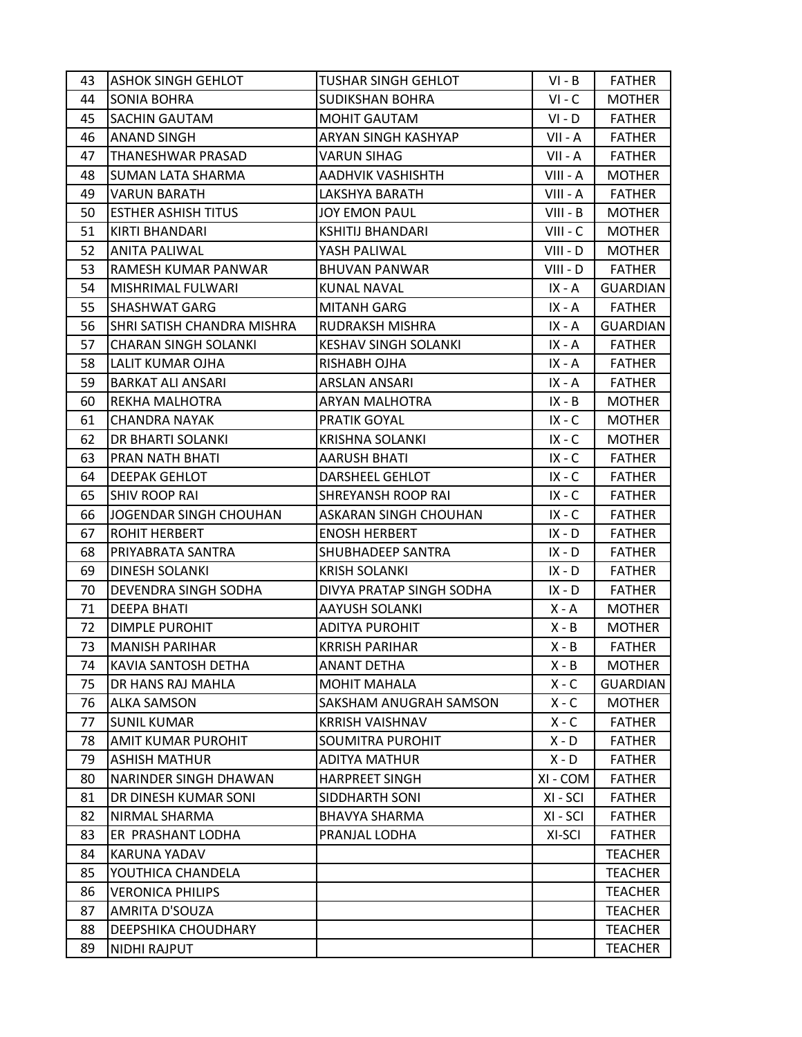| 43 | <b>ASHOK SINGH GEHLOT</b>   | <b>TUSHAR SINGH GEHLOT</b>  | $VI - B$   | <b>FATHER</b>   |
|----|-----------------------------|-----------------------------|------------|-----------------|
| 44 | <b>SONIA BOHRA</b>          | <b>SUDIKSHAN BOHRA</b>      | $VI - C$   | <b>MOTHER</b>   |
| 45 | <b>SACHIN GAUTAM</b>        | <b>MOHIT GAUTAM</b>         | $VI - D$   | <b>FATHER</b>   |
| 46 | <b>ANAND SINGH</b>          | ARYAN SINGH KASHYAP         | VII - A    | <b>FATHER</b>   |
| 47 | THANESHWAR PRASAD           | <b>VARUN SIHAG</b>          | VII - A    | <b>FATHER</b>   |
| 48 | SUMAN LATA SHARMA           | AADHVIK VASHISHTH           | VIII - A   | <b>MOTHER</b>   |
| 49 | <b>VARUN BARATH</b>         | LAKSHYA BARATH              | VIII - A   | <b>FATHER</b>   |
| 50 | <b>ESTHER ASHISH TITUS</b>  | JOY EMON PAUL               | $VIII - B$ | <b>MOTHER</b>   |
| 51 | <b>KIRTI BHANDARI</b>       | <b>KSHITIJ BHANDARI</b>     | $VIII - C$ | <b>MOTHER</b>   |
| 52 | <b>ANITA PALIWAL</b>        | YASH PALIWAL                | VIII - D   | <b>MOTHER</b>   |
| 53 | RAMESH KUMAR PANWAR         | <b>BHUVAN PANWAR</b>        | VIII - D   | <b>FATHER</b>   |
| 54 | MISHRIMAL FULWARI           | <b>KUNAL NAVAL</b>          | IX - A     | <b>GUARDIAN</b> |
| 55 | <b>SHASHWAT GARG</b>        | <b>MITANH GARG</b>          | IX - A     | <b>FATHER</b>   |
| 56 | SHRI SATISH CHANDRA MISHRA  | RUDRAKSH MISHRA             | IX - A     | <b>GUARDIAN</b> |
| 57 | <b>CHARAN SINGH SOLANKI</b> | <b>KESHAV SINGH SOLANKI</b> | $IX - A$   | <b>FATHER</b>   |
| 58 | LALIT KUMAR OJHA            | RISHABH OJHA                | IX - A     | <b>FATHER</b>   |
| 59 | <b>BARKAT ALI ANSARI</b>    | <b>ARSLAN ANSARI</b>        | IX - A     | <b>FATHER</b>   |
| 60 | REKHA MALHOTRA              | ARYAN MALHOTRA              | $IX - B$   | <b>MOTHER</b>   |
| 61 | <b>CHANDRA NAYAK</b>        | PRATIK GOYAL                | $IX - C$   | <b>MOTHER</b>   |
| 62 | DR BHARTI SOLANKI           | <b>KRISHNA SOLANKI</b>      | $IX - C$   | <b>MOTHER</b>   |
| 63 | PRAN NATH BHATI             | <b>AARUSH BHATI</b>         | $IX - C$   | <b>FATHER</b>   |
| 64 | <b>DEEPAK GEHLOT</b>        | DARSHEEL GEHLOT             | $IX - C$   | <b>FATHER</b>   |
| 65 | <b>SHIV ROOP RAI</b>        | SHREYANSH ROOP RAI          | $IX - C$   | <b>FATHER</b>   |
| 66 | JOGENDAR SINGH CHOUHAN      | ASKARAN SINGH CHOUHAN       | $IX - C$   | <b>FATHER</b>   |
| 67 | ROHIT HERBERT               | <b>ENOSH HERBERT</b>        | $IX - D$   | <b>FATHER</b>   |
| 68 | PRIYABRATA SANTRA           | SHUBHADEEP SANTRA           | $IX - D$   | <b>FATHER</b>   |
| 69 | <b>DINESH SOLANKI</b>       | <b>KRISH SOLANKI</b>        | $IX - D$   | <b>FATHER</b>   |
| 70 | DEVENDRA SINGH SODHA        | DIVYA PRATAP SINGH SODHA    | $IX - D$   | <b>FATHER</b>   |
| 71 | <b>DEEPA BHATI</b>          | <b>AAYUSH SOLANKI</b>       | X - A      | <b>MOTHER</b>   |
| 72 | <b>DIMPLE PUROHIT</b>       | <b>ADITYA PUROHIT</b>       | $X - B$    | <b>MOTHER</b>   |
| 73 | <b>MANISH PARIHAR</b>       | <b>KRRISH PARIHAR</b>       | $X - B$    | <b>FATHER</b>   |
| 74 | <b>KAVIA SANTOSH DETHA</b>  | <b>ANANT DETHA</b>          | $X - B$    | <b>MOTHER</b>   |
| 75 | DR HANS RAJ MAHLA           | <b>MOHIT MAHALA</b>         | $X - C$    | <b>GUARDIAN</b> |
| 76 | <b>ALKA SAMSON</b>          | SAKSHAM ANUGRAH SAMSON      | $X - C$    | <b>MOTHER</b>   |
| 77 | <b>SUNIL KUMAR</b>          | <b>KRRISH VAISHNAV</b>      | $X - C$    | <b>FATHER</b>   |
| 78 | AMIT KUMAR PUROHIT          | SOUMITRA PUROHIT            | $X - D$    | <b>FATHER</b>   |
| 79 | <b>ASHISH MATHUR</b>        | <b>ADITYA MATHUR</b>        | $X - D$    | <b>FATHER</b>   |
| 80 | NARINDER SINGH DHAWAN       | <b>HARPREET SINGH</b>       | XI - COM   | <b>FATHER</b>   |
| 81 | DR DINESH KUMAR SONI        | SIDDHARTH SONI              | XI - SCI   | <b>FATHER</b>   |
| 82 | NIRMAL SHARMA               | <b>BHAVYA SHARMA</b>        | XI - SCI   | <b>FATHER</b>   |
| 83 | ER PRASHANT LODHA           | PRANJAL LODHA               | XI-SCI     | <b>FATHER</b>   |
| 84 | <b>KARUNA YADAV</b>         |                             |            | <b>TEACHER</b>  |
| 85 | YOUTHICA CHANDELA           |                             |            | <b>TEACHER</b>  |
| 86 | <b>VERONICA PHILIPS</b>     |                             |            | <b>TEACHER</b>  |
| 87 | AMRITA D'SOUZA              |                             |            | <b>TEACHER</b>  |
| 88 | DEEPSHIKA CHOUDHARY         |                             |            | <b>TEACHER</b>  |
| 89 | <b>NIDHI RAJPUT</b>         |                             |            | <b>TEACHER</b>  |